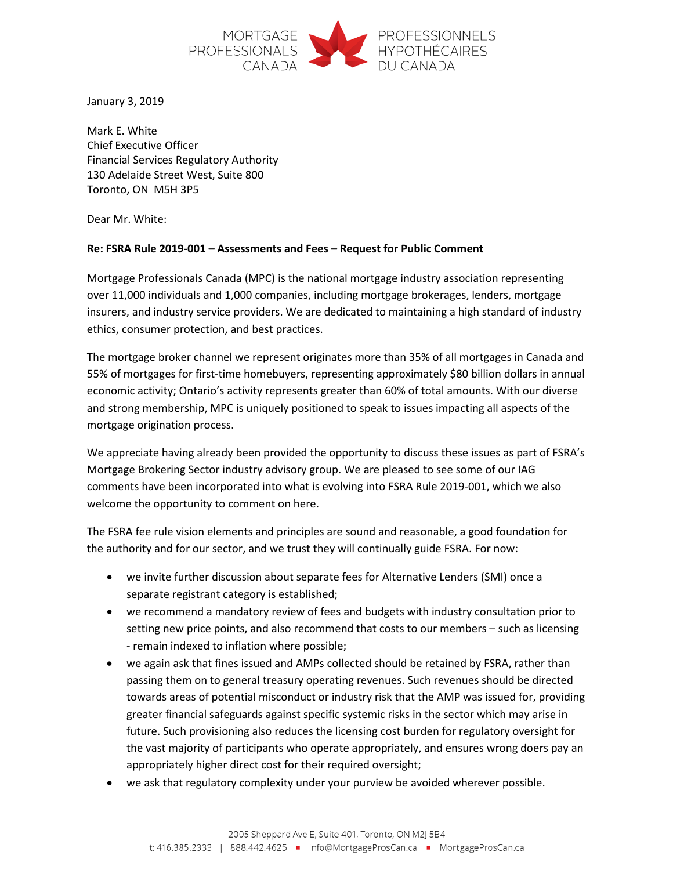

January 3, 2019

Mark E. White Chief Executive Officer Financial Services Regulatory Authority 130 Adelaide Street West, Suite 800 Toronto, ON M5H 3P5

Dear Mr. White:

## **Re: FSRA Rule 2019-001 – Assessments and Fees – Request for Public Comment**

Mortgage Professionals Canada (MPC) is the national mortgage industry association representing over 11,000 individuals and 1,000 companies, including mortgage brokerages, lenders, mortgage insurers, and industry service providers. We are dedicated to maintaining a high standard of industry ethics, consumer protection, and best practices.

The mortgage broker channel we represent originates more than 35% of all mortgages in Canada and 55% of mortgages for first-time homebuyers, representing approximately \$80 billion dollars in annual economic activity; Ontario's activity represents greater than 60% of total amounts. With our diverse and strong membership, MPC is uniquely positioned to speak to issues impacting all aspects of the mortgage origination process.

We appreciate having already been provided the opportunity to discuss these issues as part of FSRA's Mortgage Brokering Sector industry advisory group. We are pleased to see some of our IAG comments have been incorporated into what is evolving into FSRA Rule 2019-001, which we also welcome the opportunity to comment on here.

The FSRA fee rule vision elements and principles are sound and reasonable, a good foundation for the authority and for our sector, and we trust they will continually guide FSRA. For now:

- we invite further discussion about separate fees for Alternative Lenders (SMI) once a separate registrant category is established;
- we recommend a mandatory review of fees and budgets with industry consultation prior to setting new price points, and also recommend that costs to our members – such as licensing - remain indexed to inflation where possible;
- we again ask that fines issued and AMPs collected should be retained by FSRA, rather than passing them on to general treasury operating revenues. Such revenues should be directed towards areas of potential misconduct or industry risk that the AMP was issued for, providing greater financial safeguards against specific systemic risks in the sector which may arise in future. Such provisioning also reduces the licensing cost burden for regulatory oversight for the vast majority of participants who operate appropriately, and ensures wrong doers pay an appropriately higher direct cost for their required oversight;
- we ask that regulatory complexity under your purview be avoided wherever possible.